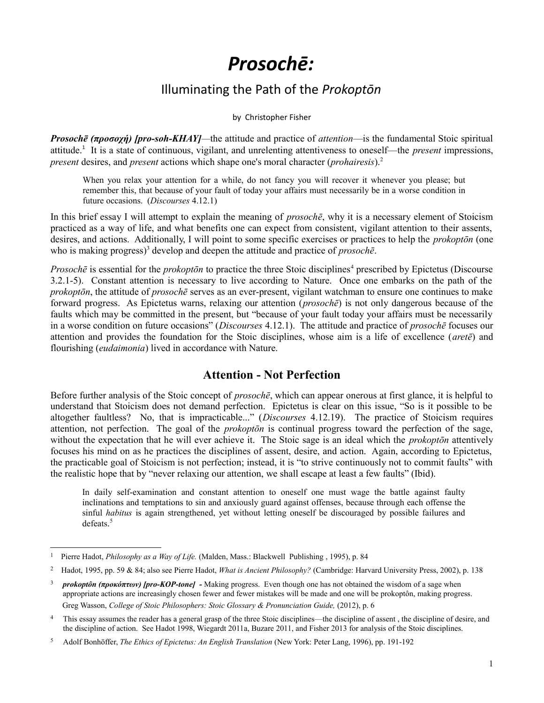# *Prosochē:*

# Illuminating the Path of the *Prokoptōn*

by Christopher Fisher

*Prosochē (προσοχή) [pro-soh-KHAY]—*the attitude and practice of *attention*—is the fundamental Stoic spiritual attitude.[1](#page-0-0) It is a state of continuous, vigilant, and unrelenting attentiveness to oneself—the *present* impressions, *present* desires, and *present* actions which shape one's moral character (*prohairesis*).[2](#page-0-1)

When you relax your attention for a while, do not fancy you will recover it whenever you please; but remember this, that because of your fault of today your affairs must necessarily be in a worse condition in future occasions. (*Discourses* 4.12.1)

In this brief essay I will attempt to explain the meaning of *prosochē*, why it is a necessary element of Stoicism practiced as a way of life, and what benefits one can expect from consistent, vigilant attention to their assents, desires, and actions. Additionally, I will point to some specific exercises or practices to help the *prokoptōn* (one who is making progress)<sup>[3](#page-0-2)</sup> develop and deepen the attitude and practice of *prosoche*.

*Prosochē* is essential for the *prokoptōn* to practice the three Stoic disciplines<sup>[4](#page-0-3)</sup> prescribed by Epictetus (Discourse 3.2.1-5). Constant attention is necessary to live according to Nature. Once one embarks on the path of the *prokoptōn*, the attitude of *prosochē* serves as an ever-present, vigilant watchman to ensure one continues to make forward progress. As Epictetus warns, relaxing our attention (*prosochē*) is not only dangerous because of the faults which may be committed in the present, but "because of your fault today your affairs must be necessarily in a worse condition on future occasions" (*Discourses* 4.12.1). The attitude and practice of *prosochē* focuses our attention and provides the foundation for the Stoic disciplines, whose aim is a life of excellence (*aretē*) and flourishing (*eudaimonia*) lived in accordance with Nature.

# **Attention - Not Perfection**

Before further analysis of the Stoic concept of *prosochē*, which can appear onerous at first glance, it is helpful to understand that Stoicism does not demand perfection. Epictetus is clear on this issue, "So is it possible to be altogether faultless? No, that is impracticable..." (*Discourses* 4.12.19). The practice of Stoicism requires attention, not perfection. The goal of the *prokoptōn* is continual progress toward the perfection of the sage, without the expectation that he will ever achieve it. The Stoic sage is an ideal which the *prokoptōn* attentively focuses his mind on as he practices the disciplines of assent, desire, and action. Again, according to Epictetus, the practicable goal of Stoicism is not perfection; instead, it is "to strive continuously not to commit faults" with the realistic hope that by "never relaxing our attention, we shall escape at least a few faults" (Ibid).

In daily self-examination and constant attention to oneself one must wage the battle against faulty inclinations and temptations to sin and anxiously guard against offenses, because through each offense the sinful *habitus* is again strengthened, yet without letting oneself be discouraged by possible failures and defeats. [5](#page-0-4)

<span id="page-0-0"></span><sup>1</sup> Pierre Hadot, *Philosophy as a Way of Life.* (Malden, Mass.: Blackwell Publishing , 1995), p. 84

<span id="page-0-1"></span><sup>2</sup> Hadot, 1995, pp. 59 & 84; also see Pierre Hadot, *What is Ancient Philosophy?* (Cambridge: Harvard University Press, 2002), p. 138

<span id="page-0-2"></span><sup>3</sup> *prokoptôn (προκόπτων) [pro-KOP-tone] -* Making progress. Even though one has not obtained the wisdom of a sage when appropriate actions are increasingly chosen fewer and fewer mistakes will be made and one will be prokoptôn, making progress. Greg Wasson, *College of Stoic Philosophers: Stoic Glossary & Pronunciation Guide,* (2012), p. 6

<span id="page-0-3"></span><sup>4</sup> This essay assumes the reader has a general grasp of the three Stoic disciplines—the discipline of assent , the discipline of desire, and the discipline of action. See Hadot 1998, Wiegardt 2011a, Buzare 2011, and Fisher 2013 for analysis of the Stoic disciplines.

<span id="page-0-4"></span><sup>5</sup> Adolf Bonhöffer, *The Ethics of Epictetus: An English Translation* (New York: Peter Lang, 1996), pp. 191-192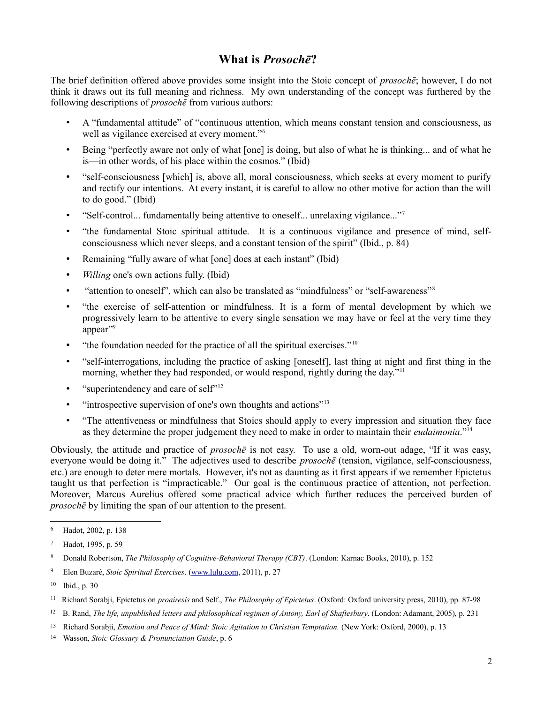# **What is** *Prosochē***?**

The brief definition offered above provides some insight into the Stoic concept of *prosochē*; however, I do not think it draws out its full meaning and richness. My own understanding of the concept was furthered by the following descriptions of *prosochē* from various authors:

- A "fundamental attitude" of "continuous attention, which means constant tension and consciousness, as well as vigilance exercised at every moment."<sup>[6](#page-1-0)</sup>
- Being "perfectly aware not only of what [one] is doing, but also of what he is thinking... and of what he is—in other words, of his place within the cosmos." (Ibid)
- "self-consciousness [which] is, above all, moral consciousness, which seeks at every moment to purify and rectify our intentions. At every instant, it is careful to allow no other motive for action than the will to do good." (Ibid)
- "Self-control... fundamentally being attentive to oneself... unrelaxing vigilance..."[7](#page-1-1)
- "the fundamental Stoic spiritual attitude. It is a continuous vigilance and presence of mind, selfconsciousness which never sleeps, and a constant tension of the spirit" (Ibid., p. 84)
- Remaining "fully aware of what [one] does at each instant" (Ibid)
- *Willing* one's own actions fully. (Ibid)
- "attention to oneself", which can also be translated as "mindfulness" or "self-awareness"[8](#page-1-2)
- "the exercise of self-attention or mindfulness. It is a form of mental development by which we progressively learn to be attentive to every single sensation we may have or feel at the very time they appear"<sup>[9](#page-1-3)</sup>
- "the foundation needed for the practice of all the spiritual exercises." $10$
- "self-interrogations, including the practice of asking [oneself], last thing at night and first thing in the morning, whether they had responded, or would respond, rightly during the day."<sup>[11](#page-1-5)</sup>
- "superintendency and care of self"<sup>[12](#page-1-6)</sup>
- "introspective supervision of one's own thoughts and actions"<sup>[13](#page-1-7)</sup>
- "The attentiveness or mindfulness that Stoics should apply to every impression and situation they face as they determine the proper judgement they need to make in order to maintain their *eudaimonia*."[14](#page-1-8)

Obviously, the attitude and practice of *prosochē* is not easy. To use a old, worn-out adage, "If it was easy, everyone would be doing it." The adjectives used to describe *prosochē* (tension, vigilance, self-consciousness, etc.) are enough to deter mere mortals. However, it's not as daunting as it first appears if we remember Epictetus taught us that perfection is "impracticable." Our goal is the continuous practice of attention, not perfection. Moreover, Marcus Aurelius offered some practical advice which further reduces the perceived burden of *prosochē* by limiting the span of our attention to the present.

<span id="page-1-0"></span><sup>6</sup> Hadot, 2002, p. 138

<span id="page-1-1"></span><sup>7</sup> Hadot, 1995, p. 59

<span id="page-1-2"></span><sup>8</sup> Donald Robertson, *The Philosophy of Cognitive-Behavioral Therapy (CBT)*. (London: Karnac Books, 2010), p. 152

<span id="page-1-3"></span><sup>9</sup> Elen Buzaré, *Stoic Spiritual Exercises*. [\(www.lulu.com,](http://www.lulu.com/) 2011), p. 27

<span id="page-1-4"></span><sup>10</sup> Ibid., p. 30

<span id="page-1-5"></span><sup>11</sup> Richard Sorabji, Epictetus on *proairesis* and Self., *The Philosophy of Epictetus*. (Oxford: Oxford university press, 2010), pp. 87-98

<span id="page-1-6"></span><sup>12</sup> B. Rand, *The life, unpublished letters and philosophical regimen of Antony, Earl of Shaftesbury*. (London: Adamant, 2005), p. 231

<span id="page-1-7"></span><sup>13</sup> Richard Sorabji, *Emotion and Peace of Mind: Stoic Agitation to Christian Temptation.* (New York: Oxford, 2000), p. 13

<span id="page-1-8"></span><sup>14</sup> Wasson, *Stoic Glossary & Pronunciation Guide*, p. 6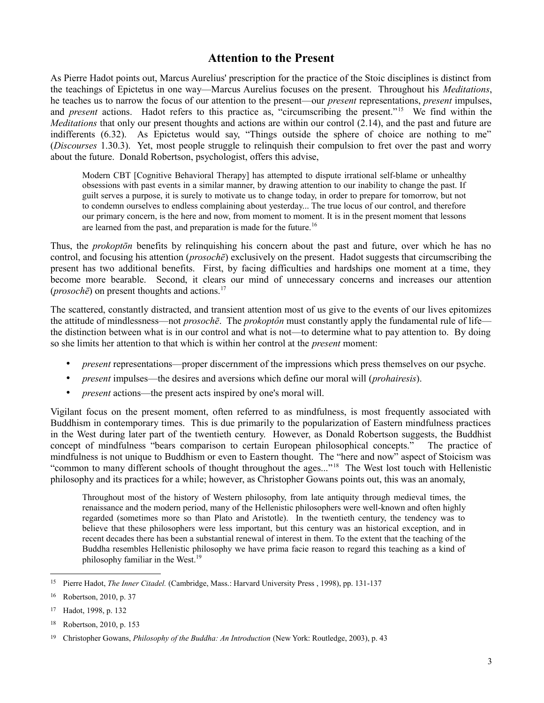### **Attention to the Present**

As Pierre Hadot points out, Marcus Aurelius' prescription for the practice of the Stoic disciplines is distinct from the teachings of Epictetus in one way—Marcus Aurelius focuses on the present. Throughout his *Meditations*, he teaches us to narrow the focus of our attention to the present—our *present* representations, *present* impulses, and *present* actions. Hadot refers to this practice as, "circumscribing the present."<sup>[15](#page-2-0)</sup> We find within the *Meditations* that only our present thoughts and actions are within our control (2.14), and the past and future are indifferents (6.32). As Epictetus would say, "Things outside the sphere of choice are nothing to me" (*Discourses* 1.30.3). Yet, most people struggle to relinquish their compulsion to fret over the past and worry about the future. Donald Robertson, psychologist, offers this advise,

Modern CBT [Cognitive Behavioral Therapy] has attempted to dispute irrational self-blame or unhealthy obsessions with past events in a similar manner, by drawing attention to our inability to change the past. If guilt serves a purpose, it is surely to motivate us to change today, in order to prepare for tomorrow, but not to condemn ourselves to endless complaining about yesterday... The true locus of our control, and therefore our primary concern, is the here and now, from moment to moment. It is in the present moment that lessons are learned from the past, and preparation is made for the future.<sup>[16](#page-2-1)</sup>

Thus, the *prokoptōn* benefits by relinquishing his concern about the past and future, over which he has no control, and focusing his attention (*prosochē*) exclusively on the present. Hadot suggests that circumscribing the present has two additional benefits. First, by facing difficulties and hardships one moment at a time, they become more bearable. Second, it clears our mind of unnecessary concerns and increases our attention (*prosochē*) on present thoughts and actions.[17](#page-2-2)

The scattered, constantly distracted, and transient attention most of us give to the events of our lives epitomizes the attitude of mindlessness—not *prosochē*. The *prokoptôn* must constantly apply the fundamental rule of life the distinction between what is in our control and what is not—to determine what to pay attention to. By doing so she limits her attention to that which is within her control at the *present* moment:

- *present* representations—proper discernment of the impressions which press themselves on our psyche.
- *present* impulses—the desires and aversions which define our moral will (*prohairesis*).
- *present* actions—the present acts inspired by one's moral will.

Vigilant focus on the present moment, often referred to as mindfulness, is most frequently associated with Buddhism in contemporary times. This is due primarily to the popularization of Eastern mindfulness practices in the West during later part of the twentieth century. However, as Donald Robertson suggests, the Buddhist concept of mindfulness "bears comparison to certain European philosophical concepts." The practice of mindfulness is not unique to Buddhism or even to Eastern thought. The "here and now" aspect of Stoicism was "common to many different schools of thought throughout the ages..."<sup>[18](#page-2-3)</sup> The West lost touch with Hellenistic philosophy and its practices for a while; however, as Christopher Gowans points out, this was an anomaly,

Throughout most of the history of Western philosophy, from late antiquity through medieval times, the renaissance and the modern period, many of the Hellenistic philosophers were well-known and often highly regarded (sometimes more so than Plato and Aristotle). In the twentieth century, the tendency was to believe that these philosophers were less important, but this century was an historical exception, and in recent decades there has been a substantial renewal of interest in them. To the extent that the teaching of the Buddha resembles Hellenistic philosophy we have prima facie reason to regard this teaching as a kind of philosophy familiar in the West.<sup>[19](#page-2-4)</sup>

<span id="page-2-0"></span><sup>15</sup> Pierre Hadot, *The Inner Citadel.* (Cambridge, Mass.: Harvard University Press , 1998), pp. 131-137

<span id="page-2-1"></span><sup>16</sup> Robertson, 2010, p. 37

<span id="page-2-2"></span><sup>17</sup> Hadot, 1998, p. 132

<span id="page-2-3"></span><sup>18</sup> Robertson, 2010, p. 153

<span id="page-2-4"></span><sup>19</sup> Christopher Gowans, *Philosophy of the Buddha: An Introduction* (New York: Routledge, 2003), p. 43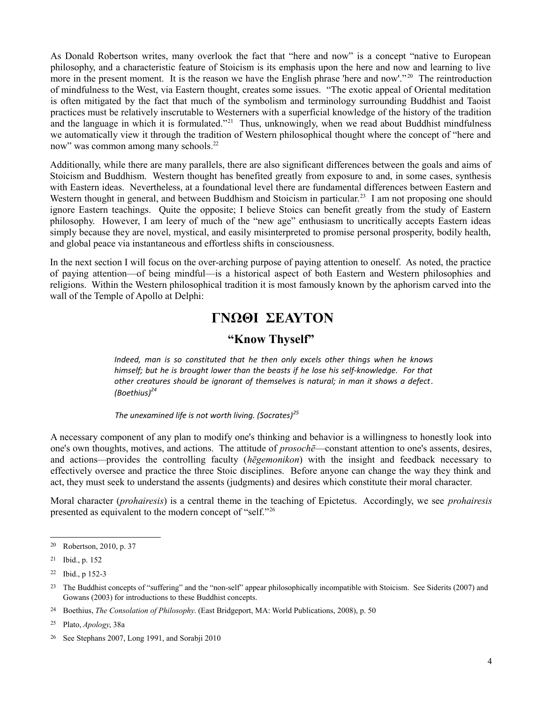As Donald Robertson writes, many overlook the fact that "here and now" is a concept "native to European philosophy, and a characteristic feature of Stoicism is its emphasis upon the here and now and learning to live more in the present moment. It is the reason we have the English phrase 'here and now'."<sup>[20](#page-3-0)</sup> The reintroduction of mindfulness to the West, via Eastern thought, creates some issues. "The exotic appeal of Oriental meditation is often mitigated by the fact that much of the symbolism and terminology surrounding Buddhist and Taoist practices must be relatively inscrutable to Westerners with a superficial knowledge of the history of the tradition and the language in which it is formulated."<sup>[21](#page-3-1)</sup> Thus, unknowingly, when we read about Buddhist mindfulness we automatically view it through the tradition of Western philosophical thought where the concept of "here and now" was common among many schools.<sup>[22](#page-3-2)</sup>

Additionally, while there are many parallels, there are also significant differences between the goals and aims of Stoicism and Buddhism. Western thought has benefited greatly from exposure to and, in some cases, synthesis with Eastern ideas. Nevertheless, at a foundational level there are fundamental differences between Eastern and Western thought in general, and between Buddhism and Stoicism in particular.<sup>[23](#page-3-3)</sup> I am not proposing one should ignore Eastern teachings. Quite the opposite; I believe Stoics can benefit greatly from the study of Eastern philosophy. However, I am leery of much of the "new age" enthusiasm to uncritically accepts Eastern ideas simply because they are novel, mystical, and easily misinterpreted to promise personal prosperity, bodily health, and global peace via instantaneous and effortless shifts in consciousness.

In the next section I will focus on the over-arching purpose of paying attention to oneself. As noted, the practice of paying attention—of being mindful—is a historical aspect of both Eastern and Western philosophies and religions. Within the Western philosophical tradition it is most famously known by the aphorism carved into the wall of the Temple of Apollo at Delphi:

# **ΓΝΩΘΙ ΣΕΑΥΤΟΝ**

# **"Know Thyself"**

*Indeed, man is so constituted that he then only excels other things when he knows himself; but he is brought lower than the beasts if he lose his self-knowledge. For that other creatures should be ignorant of themselves is natural; in man it shows a defect. (Boethius)[24](#page-3-4)*

*The unexamined life is not worth living. (Socrates)[25](#page-3-5)*

A necessary component of any plan to modify one's thinking and behavior is a willingness to honestly look into one's own thoughts, motives, and actions. The attitude of *prosochē*—constant attention to one's assents, desires, and actions*—*provides the controlling faculty (*hēgemonikon*) with the insight and feedback necessary to effectively oversee and practice the three Stoic disciplines. Before anyone can change the way they think and act, they must seek to understand the assents (judgments) and desires which constitute their moral character.

Moral character (*prohairesis*) is a central theme in the teaching of Epictetus. Accordingly, we see *prohairesis* presented as equivalent to the modern concept of "self."<sup>[26](#page-3-6)</sup>

<span id="page-3-0"></span><sup>20</sup> Robertson, 2010, p. 37

<span id="page-3-1"></span><sup>21</sup> Ibid., p. 152

<span id="page-3-2"></span><sup>22</sup> Ibid., p 152-3

<span id="page-3-3"></span><sup>&</sup>lt;sup>23</sup> The Buddhist concepts of "suffering" and the "non-self" appear philosophically incompatible with Stoicism. See Siderits (2007) and Gowans (2003) for introductions to these Buddhist concepts.

<span id="page-3-4"></span><sup>24</sup> Boethius, *The Consolation of Philosophy*. (East Bridgeport, MA: World Publications, 2008), p. 50

<span id="page-3-5"></span><sup>25</sup> Plato, *Apology*, 38a

<span id="page-3-6"></span><sup>26</sup> See Stephans 2007, Long 1991, and Sorabji 2010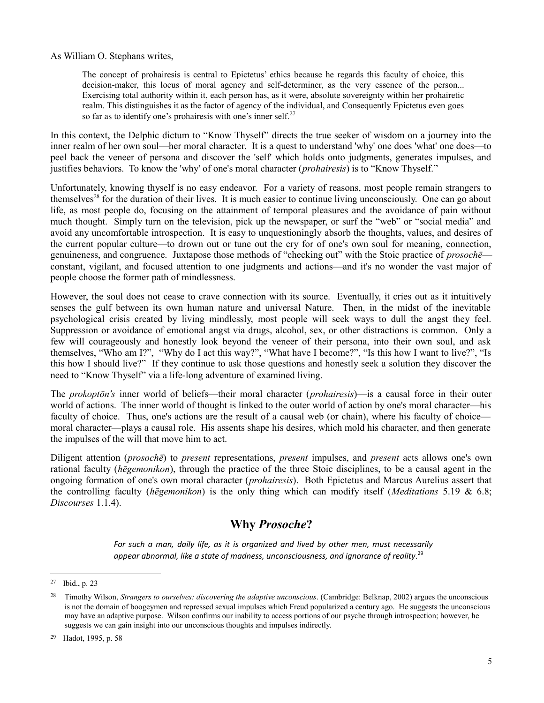As William O. Stephans writes,

The concept of prohairesis is central to Epictetus' ethics because he regards this faculty of choice, this decision-maker, this locus of moral agency and self-determiner, as the very essence of the person... Exercising total authority within it, each person has, as it were, absolute sovereignty within her prohairetic realm. This distinguishes it as the factor of agency of the individual, and Consequently Epictetus even goes so far as to identify one's prohairesis with one's inner self.<sup>[27](#page-4-0)</sup>

In this context, the Delphic dictum to "Know Thyself" directs the true seeker of wisdom on a journey into the inner realm of her own soul—her moral character. It is a quest to understand 'why' one does 'what' one does—to peel back the veneer of persona and discover the 'self' which holds onto judgments, generates impulses, and justifies behaviors. To know the 'why' of one's moral character (*prohairesis*) is to "Know Thyself."

Unfortunately, knowing thyself is no easy endeavor. For a variety of reasons, most people remain strangers to themselves[28](#page-4-1) for the duration of their lives. It is much easier to continue living unconsciously. One can go about life, as most people do, focusing on the attainment of temporal pleasures and the avoidance of pain without much thought. Simply turn on the television, pick up the newspaper, or surf the "web" or "social media" and avoid any uncomfortable introspection. It is easy to unquestioningly absorb the thoughts, values, and desires of the current popular culture—to drown out or tune out the cry for of one's own soul for meaning, connection, genuineness, and congruence. Juxtapose those methods of "checking out" with the Stoic practice of *prosochē* constant, vigilant, and focused attention to one judgments and actions—and it's no wonder the vast major of people choose the former path of mindlessness.

However, the soul does not cease to crave connection with its source. Eventually, it cries out as it intuitively senses the gulf between its own human nature and universal Nature. Then, in the midst of the inevitable psychological crisis created by living mindlessly, most people will seek ways to dull the angst they feel. Suppression or avoidance of emotional angst via drugs, alcohol, sex, or other distractions is common. Only a few will courageously and honestly look beyond the veneer of their persona, into their own soul, and ask themselves, "Who am I?", "Why do I act this way?", "What have I become?", "Is this how I want to live?", "Is this how I should live?" If they continue to ask those questions and honestly seek a solution they discover the need to "Know Thyself" via a life-long adventure of examined living.

The *prokoptōn's* inner world of beliefs—their moral character (*prohairesis*)—is a causal force in their outer world of actions. The inner world of thought is linked to the outer world of action by one's moral character—his faculty of choice. Thus, one's actions are the result of a causal web (or chain), where his faculty of choice moral character—plays a causal role. His assents shape his desires, which mold his character, and then generate the impulses of the will that move him to act.

Diligent attention (*prosochē*) to *present* representations, *present* impulses, and *present* acts allows one's own rational faculty (*hēgemonikon*), through the practice of the three Stoic disciplines, to be a causal agent in the ongoing formation of one's own moral character (*prohairesis*). Both Epictetus and Marcus Aurelius assert that the controlling faculty (*hēgemonikon*) is the only thing which can modify itself (*Meditations* 5.19 & 6.8; *Discourses* 1.1.4).

# **Why** *Prosoche***?**

*For such a man, daily life, as it is organized and lived by other men, must necessarily* appear abnormal, like a state of madness, unconsciousness, and ignorance of reality.<sup>[29](#page-4-2)</sup>

<span id="page-4-0"></span><sup>27</sup> Ibid., p. 23

<span id="page-4-1"></span><sup>28</sup> Timothy Wilson, *Strangers to ourselves: discovering the adaptive unconscious*. (Cambridge: Belknap, 2002) argues the unconscious is not the domain of boogeymen and repressed sexual impulses which Freud popularized a century ago. He suggests the unconscious may have an adaptive purpose. Wilson confirms our inability to access portions of our psyche through introspection; however, he suggests we can gain insight into our unconscious thoughts and impulses indirectly.

<span id="page-4-2"></span><sup>29</sup> Hadot, 1995, p. 58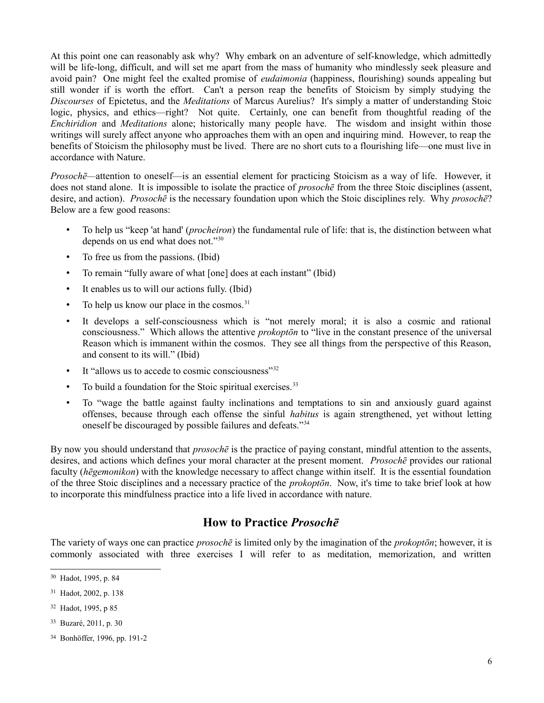At this point one can reasonably ask why? Why embark on an adventure of self-knowledge, which admittedly will be life-long, difficult, and will set me apart from the mass of humanity who mindlessly seek pleasure and avoid pain? One might feel the exalted promise of *eudaimonia* (happiness, flourishing) sounds appealing but still wonder if is worth the effort. Can't a person reap the benefits of Stoicism by simply studying the *Discourses* of Epictetus, and the *Meditations* of Marcus Aurelius? It's simply a matter of understanding Stoic logic, physics, and ethics—right? Not quite. Certainly, one can benefit from thoughtful reading of the *Enchiridion* and *Meditations* alone; historically many people have. The wisdom and insight within those writings will surely affect anyone who approaches them with an open and inquiring mind. However, to reap the benefits of Stoicism the philosophy must be lived. There are no short cuts to a flourishing life—one must live in accordance with Nature.

*Prosochē—*attention to oneself—is an essential element for practicing Stoicism as a way of life. However, it does not stand alone. It is impossible to isolate the practice of *prosochē* from the three Stoic disciplines (assent, desire, and action). *Prosochē* is the necessary foundation upon which the Stoic disciplines rely. Why *prosochē*? Below are a few good reasons:

- To help us "keep 'at hand' (*procheiron*) the fundamental rule of life: that is, the distinction between what depends on us end what does not."[30](#page-5-0)
- To free us from the passions. (Ibid)
- To remain "fully aware of what [one] does at each instant" (Ibid)
- It enables us to will our actions fully. (Ibid)
- To help us know our place in the cosmos. $31$
- It develops a self-consciousness which is "not merely moral; it is also a cosmic and rational consciousness." Which allows the attentive *prokoptōn* to "live in the constant presence of the universal Reason which is immanent within the cosmos. They see all things from the perspective of this Reason, and consent to its will." (Ibid)
- It "allows us to accede to cosmic consciousness"<sup>[32](#page-5-2)</sup>
- To build a foundation for the Stoic spiritual exercises.<sup>[33](#page-5-3)</sup>
- To "wage the battle against faulty inclinations and temptations to sin and anxiously guard against offenses, because through each offense the sinful *habitus* is again strengthened, yet without letting oneself be discouraged by possible failures and defeats."[34](#page-5-4)

By now you should understand that *prosochē* is the practice of paying constant, mindful attention to the assents, desires, and actions which defines your moral character at the present moment. *Prosochē* provides our rational faculty (*hēgemonikon*) with the knowledge necessary to affect change within itself. It is the essential foundation of the three Stoic disciplines and a necessary practice of the *prokoptōn*. Now, it's time to take brief look at how to incorporate this mindfulness practice into a life lived in accordance with nature.

# **How to Practice** *Prosochē*

The variety of ways one can practice *prosochē* is limited only by the imagination of the *prokoptōn*; however, it is commonly associated with three exercises I will refer to as meditation, memorization, and written

- <span id="page-5-3"></span><sup>33</sup> Buzaré, 2011, p. 30
- <span id="page-5-4"></span><sup>34</sup> Bonhöffer, 1996, pp. 191-2

<span id="page-5-0"></span><sup>30</sup> Hadot, 1995, p. 84

<span id="page-5-1"></span><sup>31</sup> Hadot, 2002, p. 138

<span id="page-5-2"></span><sup>32</sup> Hadot, 1995, p 85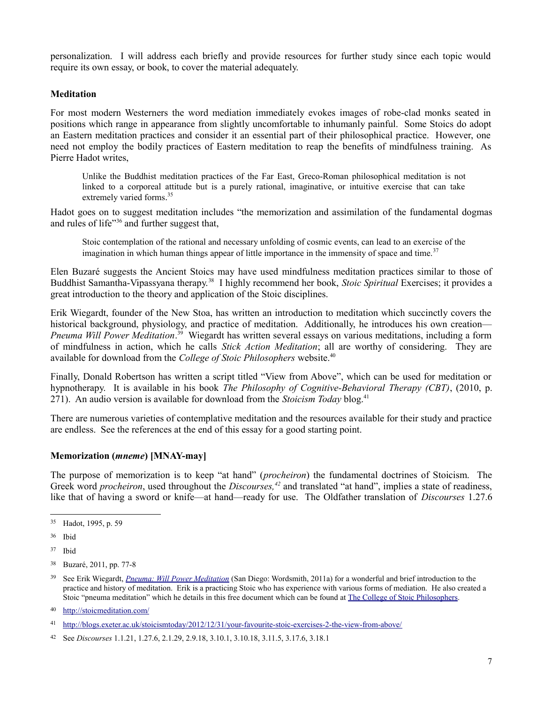personalization. I will address each briefly and provide resources for further study since each topic would require its own essay, or book, to cover the material adequately.

### **Meditation**

For most modern Westerners the word mediation immediately evokes images of robe-clad monks seated in positions which range in appearance from slightly uncomfortable to inhumanly painful. Some Stoics do adopt an Eastern meditation practices and consider it an essential part of their philosophical practice. However, one need not employ the bodily practices of Eastern meditation to reap the benefits of mindfulness training. As Pierre Hadot writes,

Unlike the Buddhist meditation practices of the Far East, Greco-Roman philosophical meditation is not linked to a corporeal attitude but is a purely rational, imaginative, or intuitive exercise that can take extremely varied forms. [35](#page-6-0)

Hadot goes on to suggest meditation includes "the memorization and assimilation of the fundamental dogmas and rules of life"[36](#page-6-1) and further suggest that,

Stoic contemplation of the rational and necessary unfolding of cosmic events, can lead to an exercise of the imagination in which human things appear of little importance in the immensity of space and time.<sup>[37](#page-6-2)</sup>

Elen Buzaré suggests the Ancient Stoics may have used mindfulness meditation practices similar to those of Buddhist Samantha-Vipassyana therapy.[38](#page-6-3) I highly recommend her book, *Stoic Spiritual* Exercises; it provides a great introduction to the theory and application of the Stoic disciplines.

Erik Wiegardt, founder of the New Stoa, has written an introduction to meditation which succinctly covers the historical background, physiology, and practice of meditation. Additionally, he introduces his own creation— *Pneuma Will Power Meditation*. [39](#page-6-4) Wiegardt has written several essays on various meditations, including a form of mindfulness in action, which he calls *Stick Action Meditation*; all are worthy of considering. They are available for download from the *College of Stoic Philosophers* website.<sup>[40](#page-6-5)</sup>

Finally, Donald Robertson has written a script titled "View from Above", which can be used for meditation or hypnotherapy. It is available in his book *The Philosophy of Cognitive-Behavioral Therapy (CBT)*, (2010, p. 271). An audio version is available for download from the *Stoicism Today* blog.<sup>[41](#page-6-6)</sup>

There are numerous varieties of contemplative meditation and the resources available for their study and practice are endless. See the references at the end of this essay for a good starting point.

### **Memorization (***mneme***) [MNAY-may]**

The purpose of memorization is to keep "at hand" (*procheiron*) the fundamental doctrines of Stoicism. The Greek word *procheiron*, used throughout the *Discourses,[42](#page-6-7)* and translated "at hand", implies a state of readiness, like that of having a sword or knife—at hand—ready for use. The Oldfather translation of *Discourses* 1.27.6

<span id="page-6-0"></span><sup>35</sup> Hadot, 1995, p. 59

<span id="page-6-1"></span><sup>36</sup> Ibid

<span id="page-6-2"></span><sup>37</sup> Ibid

<span id="page-6-3"></span><sup>38</sup> Buzaré, 2011, pp. 77-8

<span id="page-6-4"></span><sup>39</sup> See Erik Wiegardt, *[Pneuma: Will Power Meditation](http://stoicmeditation.com/med_books.php?s=2)* (San Diego: Wordsmith, 2011a) for a wonderful and brief introduction to the practice and history of meditation. Erik is a practicing Stoic who has experience with various forms of mediation. He also created a Stoic "pneuma meditation" which he details in this free document which can be found at [The College of Stoic Philosophers.](http://stoicscollege.com/)

<span id="page-6-5"></span><sup>40</sup> <http://stoicmeditation.com/>

<span id="page-6-6"></span><sup>41</sup> <http://blogs.exeter.ac.uk/stoicismtoday/2012/12/31/your-favourite-stoic-exercises-2-the-view-from-above/>

<span id="page-6-7"></span><sup>42</sup> See *Discourses* 1.1.21, 1.27.6, 2.1.29, 2.9.18, 3.10.1, 3.10.18, 3.11.5, 3.17.6, 3.18.1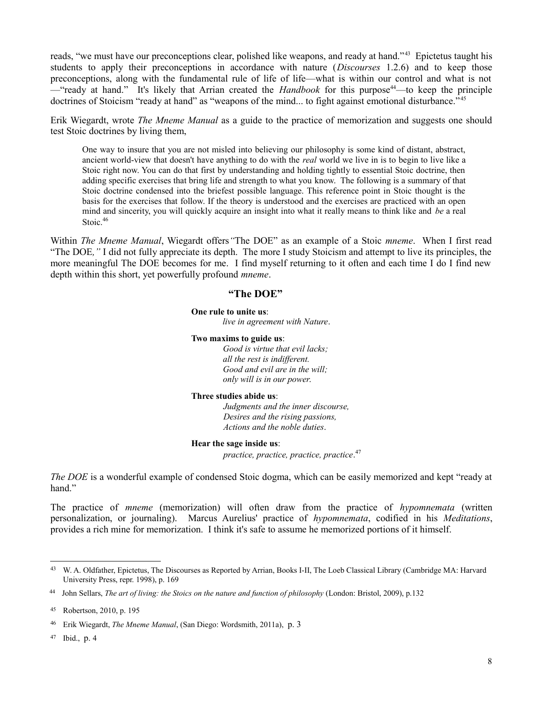reads, "we must have our preconceptions clear, polished like weapons, and ready at hand."[43](#page-7-0) Epictetus taught his students to apply their preconceptions in accordance with nature (*Discourses* 1.2.6) and to keep those preconceptions, along with the fundamental rule of life of life—what is within our control and what is not —"ready at hand." It's likely that Arrian created the *Handbook* for this purpose[44](#page-7-1)—to keep the principle doctrines of Stoicism "ready at hand" as "weapons of the mind... to fight against emotional disturbance."<sup>[45](#page-7-2)</sup>

Erik Wiegardt, wrote *The Mneme Manual* as a guide to the practice of memorization and suggests one should test Stoic doctrines by living them,

One way to insure that you are not misled into believing our philosophy is some kind of distant, abstract, ancient world-view that doesn't have anything to do with the *real* world we live in is to begin to live like a Stoic right now. You can do that first by understanding and holding tightly to essential Stoic doctrine, then adding specific exercises that bring life and strength to what you know. The following is a summary of that Stoic doctrine condensed into the briefest possible language. This reference point in Stoic thought is the basis for the exercises that follow. If the theory is understood and the exercises are practiced with an open mind and sincerity, you will quickly acquire an insight into what it really means to think like and *be* a real Stoic. [46](#page-7-3)

Within *The Mneme Manual*, Wiegardt offers*"*The DOE" as an example of a Stoic *mneme*. When I first read "The DOE*,"* I did not fully appreciate its depth. The more I study Stoicism and attempt to live its principles, the more meaningful The DOE becomes for me. I find myself returning to it often and each time I do I find new depth within this short, yet powerfully profound *mneme*.

### **"The DOE"**

#### **One rule to unite us**:

*live in agreement with Nature*.

#### **Two maxims to guide us**:

*Good is virtue that evil lacks; all the rest is indifferent. Good and evil are in the will; only will is in our power*.

#### **Three studies abide us**:

*Judgments and the inner discourse, Desires and the rising passions, Actions and the noble duties*.

#### **Hear the sage inside us**:

*practice, practice, practice, practice*. [47](#page-7-4)

*The DOE* is a wonderful example of condensed Stoic dogma, which can be easily memorized and kept "ready at hand."

The practice of *mneme* (memorization) will often draw from the practice of *hypomnemata* (written personalization, or journaling). Marcus Aurelius' practice of *hypomnemata*, codified in his *Meditations*, provides a rich mine for memorization. I think it's safe to assume he memorized portions of it himself.

<span id="page-7-0"></span><sup>43</sup> W. A. Oldfather, Epictetus, The Discourses as Reported by Arrian, Books I-II, The Loeb Classical Library (Cambridge MA: Harvard University Press, repr. 1998), p. 169

<span id="page-7-1"></span><sup>44</sup> John Sellars, *The art of living: the Stoics on the nature and function of philosophy* (London: Bristol, 2009), p.132

<span id="page-7-2"></span><sup>45</sup> Robertson, 2010, p. 195

<span id="page-7-3"></span><sup>46</sup> Erik Wiegardt, *The Mneme Manual*, (San Diego: Wordsmith, 2011a), p. 3

<span id="page-7-4"></span><sup>47</sup> Ibid., p. 4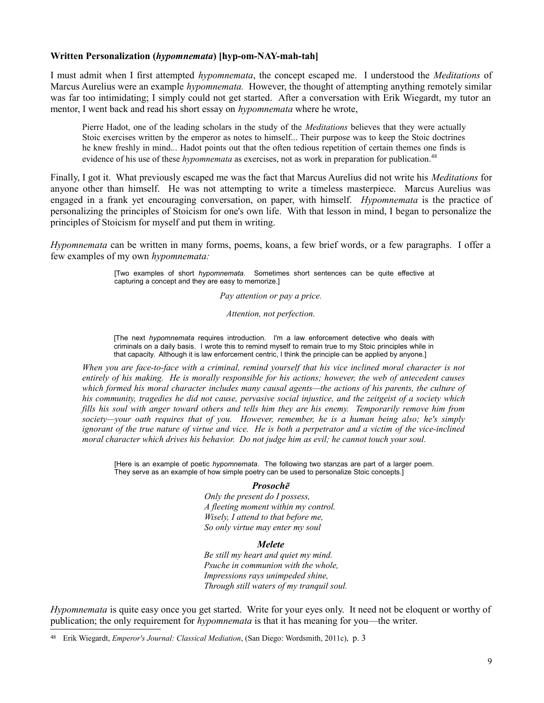### **Written Personalization (***hypomnemata***) [hyp-om-NAY-mah-tah]**

I must admit when I first attempted *hypomnemata*, the concept escaped me. I understood the *Meditations* of Marcus Aurelius were an example *hypomnemata.* However, the thought of attempting anything remotely similar was far too intimidating; I simply could not get started. After a conversation with Erik Wiegardt, my tutor an mentor, I went back and read his short essay on *hypomnemata* where he wrote,

Pierre Hadot, one of the leading scholars in the study of the *Meditations* believes that they were actually Stoic exercises written by the emperor as notes to himself... Their purpose was to keep the Stoic doctrines he knew freshly in mind.*.*. Hadot points out that the often tedious repetition of certain themes one finds is evidence of his use of these *hypomnemata* as exercises, not as work in preparation for publication.<sup>[48](#page-8-0)</sup>

Finally, I got it. What previously escaped me was the fact that Marcus Aurelius did not write his *Meditations* for anyone other than himself. He was not attempting to write a timeless masterpiece. Marcus Aurelius was engaged in a frank yet encouraging conversation, on paper, with himself. *Hypomnemata* is the practice of personalizing the principles of Stoicism for one's own life. With that lesson in mind, I began to personalize the principles of Stoicism for myself and put them in writing.

*Hypomnemata* can be written in many forms, poems, koans, a few brief words, or a few paragraphs. I offer a few examples of my own *hypomnemata:*

> [Two examples of short *hypomnemata*. Sometimes short sentences can be quite effective at capturing a concept and they are easy to memorize.]

> > *Pay attention or pay a price.*

*Attention, not perfection.*

[The next *hypomnemata* requires introduction. I'm a law enforcement detective who deals with criminals on a daily basis. I wrote this to remind myself to remain true to my Stoic principles while in that capacity. Although it is law enforcement centric, I think the principle can be applied by anyone.]

*When you are face-to-face with a criminal, remind yourself that his vice inclined moral character is not entirely of his making. He is morally responsible for his actions; however, the web of antecedent causes which formed his moral character includes many causal agents—the actions of his parents, the culture of his community, tragedies he did not cause, pervasive social injustice, and the zeitgeist of a society which fills his soul with anger toward others and tells him they are his enemy. Temporarily remove him from society—your oath requires that of you. However, remember, he is a human being also; he's simply ignorant of the true nature of virtue and vice. He is both a perpetrator and a victim of the vice-inclined moral character which drives his behavior. Do not judge him as evil; he cannot touch your soul.* 

[Here is an example of poetic *hypomnemata*. The following two stanzas are part of a larger poem. They serve as an example of how simple poetry can be used to personalize Stoic concepts.]

#### *Prosochē*

*Only the present do I possess, A fleeting moment within my control. Wisely, I attend to that before me, So only virtue may enter my soul*

#### *Melete*

*Be still my heart and quiet my mind. Psuche in communion with the whole, Impressions rays unimpeded shine, Through still waters of my tranquil soul.*

*Hypomnemata* is quite easy once you get started. Write for your eyes only. It need not be eloquent or worthy of publication; the only requirement for *hypomnemata* is that it has meaning for you—the writer.

<span id="page-8-0"></span><sup>48</sup> Erik Wiegardt, *Emperor's Journal: Classical Mediation*, (San Diego: Wordsmith, 2011c), p. 3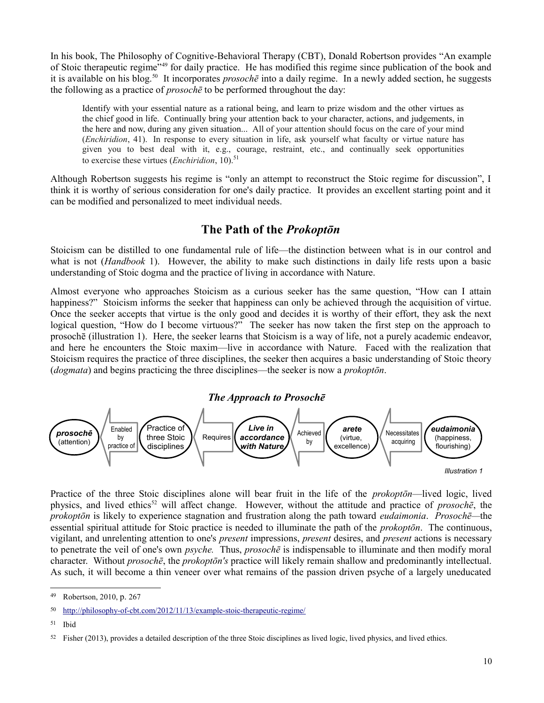In his book, The Philosophy of Cognitive-Behavioral Therapy (CBT), Donald Robertson provides "An example of Stoic therapeutic regime"[49](#page-9-0) for daily practice. He has modified this regime since publication of the book and it is available on his blog.[50](#page-9-1) It incorporates *prosochē* into a daily regime. In a newly added section, he suggests the following as a practice of *prosochē* to be performed throughout the day:

Identify with your essential nature as a rational being, and learn to prize wisdom and the other virtues as the chief good in life. Continually bring your attention back to your character, actions, and judgements, in the here and now, during any given situation... All of your attention should focus on the care of your mind (*Enchiridion*, 41). In response to every situation in life, ask yourself what faculty or virtue nature has given you to best deal with it, e.g., courage, restraint, etc., and continually seek opportunities to exercise these virtues  $(Enchiridion, 10)$ .<sup>[51](#page-9-2)</sup>

Although Robertson suggests his regime is "only an attempt to reconstruct the Stoic regime for discussion", I think it is worthy of serious consideration for one's daily practice. It provides an excellent starting point and it can be modified and personalized to meet individual needs.

## **The Path of the** *Prokoptōn*

Stoicism can be distilled to one fundamental rule of life—the distinction between what is in our control and what is not *(Handbook 1)*. However, the ability to make such distinctions in daily life rests upon a basic understanding of Stoic dogma and the practice of living in accordance with Nature.

Almost everyone who approaches Stoicism as a curious seeker has the same question, "How can I attain happiness?" Stoicism informs the seeker that happiness can only be achieved through the acquisition of virtue. Once the seeker accepts that virtue is the only good and decides it is worthy of their effort, they ask the next logical question, "How do I become virtuous?" The seeker has now taken the first step on the approach to prosochē (illustration 1). Here, the seeker learns that Stoicism is a way of life, not a purely academic endeavor, and here he encounters the Stoic maxim—live in accordance with Nature. Faced with the realization that Stoicism requires the practice of three disciplines, the seeker then acquires a basic understanding of Stoic theory (*dogmata*) and begins practicing the three disciplines—the seeker is now a *prokoptōn*.



Practice of the three Stoic disciplines alone will bear fruit in the life of the *prokoptōn*—lived logic, lived physics, and lived ethics<sup>[52](#page-9-3)</sup> will affect change. However, without the attitude and practice of *prosoche*, the *prokoptōn* is likely to experience stagnation and frustration along the path toward *eudaimonia*. *Prosochē—*the essential spiritual attitude for Stoic practice is needed to illuminate the path of the *prokoptōn*. The continuous, vigilant, and unrelenting attention to one's *present* impressions, *present* desires, and *present* actions is necessary to penetrate the veil of one's own *psyche.* Thus, *prosochē* is indispensable to illuminate and then modify moral character. Without *prosochē*, the *prokoptōn's* practice will likely remain shallow and predominantly intellectual. As such, it will become a thin veneer over what remains of the passion driven psyche of a largely uneducated

<span id="page-9-0"></span><sup>49</sup> Robertson, 2010, p. 267

<span id="page-9-1"></span><sup>50</sup> <http://philosophy-of-cbt.com/2012/11/13/example-stoic-therapeutic-regime/>

<span id="page-9-2"></span><sup>51</sup> Ibid

<span id="page-9-3"></span> $52$  Fisher (2013), provides a detailed description of the three Stoic disciplines as lived logic, lived physics, and lived ethics.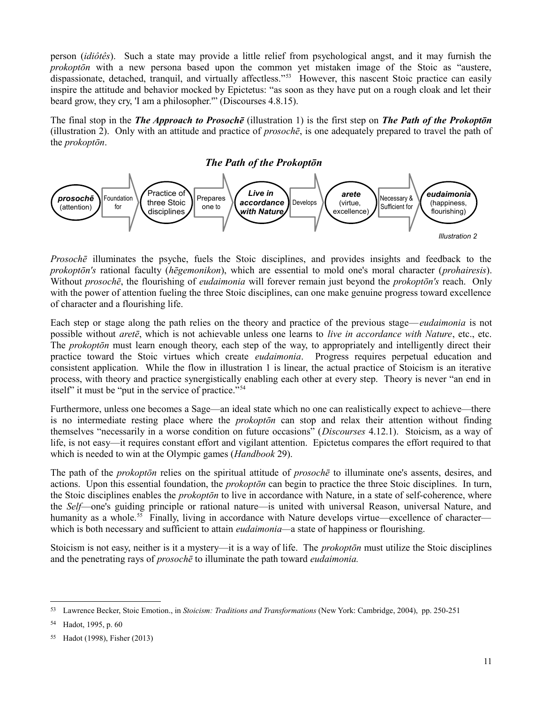person (*idiôtês*). Such a state may provide a little relief from psychological angst, and it may furnish the *prokoptōn* with a new persona based upon the common yet mistaken image of the Stoic as "austere, dispassionate, detached, tranquil, and virtually affectless."<sup>[53](#page-10-0)</sup> However, this nascent Stoic practice can easily inspire the attitude and behavior mocked by Epictetus: "as soon as they have put on a rough cloak and let their beard grow, they cry, 'I am a philosopher.'" (Discourses 4.8.15).

The final stop in the *The Approach to Prosochē* (illustration 1) is the first step on *The Path of the Prokoptōn* (illustration 2). Only with an attitude and practice of *prosochē*, is one adequately prepared to travel the path of the *prokoptōn*.



*Prosochē* illuminates the psyche, fuels the Stoic disciplines, and provides insights and feedback to the *prokoptōn's* rational faculty (*hēgemonikon*), which are essential to mold one's moral character (*prohairesis*). Without *prosochē*, the flourishing of *eudaimonia* will forever remain just beyond the *prokoptōn's* reach. Only with the power of attention fueling the three Stoic disciplines, can one make genuine progress toward excellence of character and a flourishing life.

Each step or stage along the path relies on the theory and practice of the previous stage—*eudaimonia* is not possible without *aretē*, which is not achievable unless one learns to *live in accordance with Nature*, etc., etc. The *prokoptōn* must learn enough theory, each step of the way, to appropriately and intelligently direct their practice toward the Stoic virtues which create *eudaimonia*. Progress requires perpetual education and consistent application. While the flow in illustration 1 is linear, the actual practice of Stoicism is an iterative process, with theory and practice synergistically enabling each other at every step. Theory is never "an end in itself" it must be "put in the service of practice."[54](#page-10-1)

Furthermore, unless one becomes a Sage—an ideal state which no one can realistically expect to achieve—there is no intermediate resting place where the *prokoptōn* can stop and relax their attention without finding themselves "necessarily in a worse condition on future occasions" (*Discourses* 4.12.1). Stoicism, as a way of life, is not easy—it requires constant effort and vigilant attention. Epictetus compares the effort required to that which is needed to win at the Olympic games (*Handbook* 29).

The path of the *prokoptōn* relies on the spiritual attitude of *prosochē* to illuminate one's assents, desires, and actions. Upon this essential foundation, the *prokoptōn* can begin to practice the three Stoic disciplines. In turn, the Stoic disciplines enables the *prokoptōn* to live in accordance with Nature, in a state of self-coherence, where the *Self*—one's guiding principle or rational nature—is united with universal Reason, universal Nature, and humanity as a whole.<sup>[55](#page-10-2)</sup> Finally, living in accordance with Nature develops virtue—excellence of character which is both necessary and sufficient to attain *eudaimonia—*a state of happiness or flourishing.

Stoicism is not easy, neither is it a mystery—it is a way of life. The *prokoptōn* must utilize the Stoic disciplines and the penetrating rays of *prosochē* to illuminate the path toward *eudaimonia.*

<span id="page-10-0"></span><sup>53</sup> Lawrence Becker, Stoic Emotion., in *Stoicism: Traditions and Transformations* (New York: Cambridge, 2004), pp. 250-251

<span id="page-10-1"></span><sup>54</sup> Hadot, 1995, p. 60

<span id="page-10-2"></span><sup>55</sup> Hadot (1998), Fisher (2013)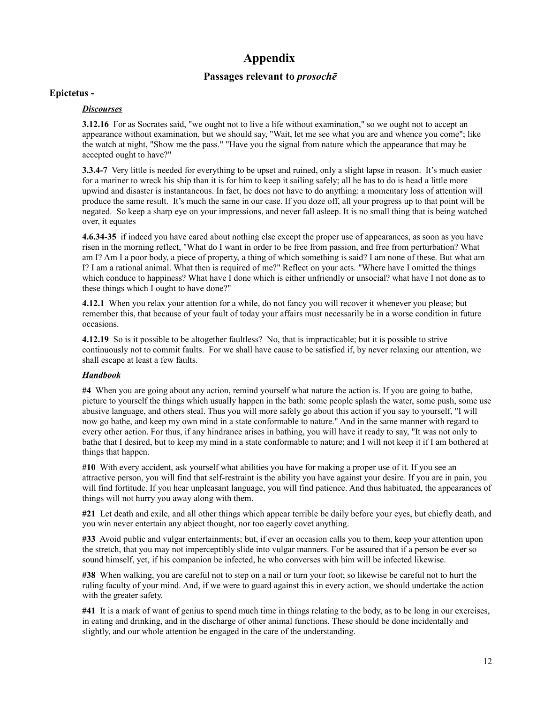# **Appendix**

### **Passages relevant to** *prosochē*

### **Epictetus -**

### *Discourses*

**3.12.16** For as Socrates said, "we ought not to live a life without examination," so we ought not to accept an appearance without examination, but we should say, "Wait, let me see what you are and whence you come"; like the watch at night, "Show me the pass." "Have you the signal from nature which the appearance that may be accepted ought to have?"

**3.3.4-7** Very little is needed for everything to be upset and ruined, only a slight lapse in reason. It's much easier for a mariner to wreck his ship than it is for him to keep it sailing safely; all he has to do is head a little more upwind and disaster is instantaneous. In fact, he does not have to do anything: a momentary loss of attention will produce the same result. It's much the same in our case. If you doze off, all your progress up to that point will be negated. So keep a sharp eye on your impressions, and never fall asleep. It is no small thing that is being watched over, it equates

**4.6.34-35** if indeed you have cared about nothing else except the proper use of appearances, as soon as you have risen in the morning reflect, "What do I want in order to be free from passion, and free from perturbation? What am I? Am I a poor body, a piece of property, a thing of which something is said? I am none of these. But what am I? I am a rational animal. What then is required of me?" Reflect on your acts. "Where have I omitted the things which conduce to happiness? What have I done which is either unfriendly or unsocial? what have I not done as to these things which I ought to have done?"

**4.12.1** When you relax your attention for a while, do not fancy you will recover it whenever you please; but remember this, that because of your fault of today your affairs must necessarily be in a worse condition in future occasions.

**4.12.19** So is it possible to be altogether faultless? No, that is impracticable; but it is possible to strive continuously not to commit faults. For we shall have cause to be satisfied if, by never relaxing our attention, we shall escape at least a few faults.

#### *Handbook*

**#4** When you are going about any action, remind yourself what nature the action is. If you are going to bathe, picture to yourself the things which usually happen in the bath: some people splash the water, some push, some use abusive language, and others steal. Thus you will more safely go about this action if you say to yourself, "I will now go bathe, and keep my own mind in a state conformable to nature." And in the same manner with regard to every other action. For thus, if any hindrance arises in bathing, you will have it ready to say, "It was not only to bathe that I desired, but to keep my mind in a state conformable to nature; and I will not keep it if I am bothered at things that happen.

**#10** With every accident, ask yourself what abilities you have for making a proper use of it. If you see an attractive person, you will find that self-restraint is the ability you have against your desire. If you are in pain, you will find fortitude. If you hear unpleasant language, you will find patience. And thus habituated, the appearances of things will not hurry you away along with them.

**#21** Let death and exile, and all other things which appear terrible be daily before your eyes, but chiefly death, and you win never entertain any abject thought, nor too eagerly covet anything.

**#33** Avoid public and vulgar entertainments; but, if ever an occasion calls you to them, keep your attention upon the stretch, that you may not imperceptibly slide into vulgar manners. For be assured that if a person be ever so sound himself, yet, if his companion be infected, he who converses with him will be infected likewise.

**#38** When walking, you are careful not to step on a nail or turn your foot; so likewise be careful not to hurt the ruling faculty of your mind. And, if we were to guard against this in every action, we should undertake the action with the greater safety.

**#41** It is a mark of want of genius to spend much time in things relating to the body, as to be long in our exercises, in eating and drinking, and in the discharge of other animal functions. These should be done incidentally and slightly, and our whole attention be engaged in the care of the understanding.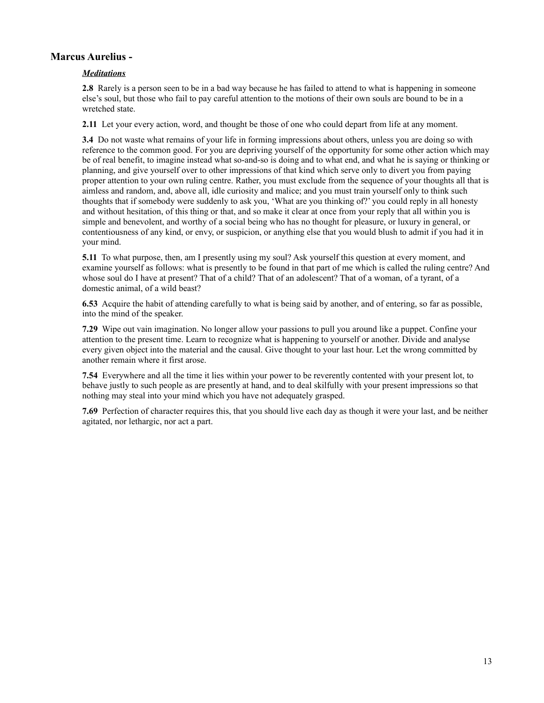### **Marcus Aurelius -**

### *Meditations*

**2.8** Rarely is a person seen to be in a bad way because he has failed to attend to what is happening in someone else's soul, but those who fail to pay careful attention to the motions of their own souls are bound to be in a wretched state.

**2.11** Let your every action, word, and thought be those of one who could depart from life at any moment.

**3.4** Do not waste what remains of your life in forming impressions about others, unless you are doing so with reference to the common good. For you are depriving yourself of the opportunity for some other action which may be of real benefit, to imagine instead what so-and-so is doing and to what end, and what he is saying or thinking or planning, and give yourself over to other impressions of that kind which serve only to divert you from paying proper attention to your own ruling centre. Rather, you must exclude from the sequence of your thoughts all that is aimless and random, and, above all, idle curiosity and malice; and you must train yourself only to think such thoughts that if somebody were suddenly to ask you, 'What are you thinking of?' you could reply in all honesty and without hesitation, of this thing or that, and so make it clear at once from your reply that all within you is simple and benevolent, and worthy of a social being who has no thought for pleasure, or luxury in general, or contentiousness of any kind, or envy, or suspicion, or anything else that you would blush to admit if you had it in your mind.

**5.11** To what purpose, then, am I presently using my soul? Ask yourself this question at every moment, and examine yourself as follows: what is presently to be found in that part of me which is called the ruling centre? And whose soul do I have at present? That of a child? That of an adolescent? That of a woman, of a tyrant, of a domestic animal, of a wild beast?

**6.53** Acquire the habit of attending carefully to what is being said by another, and of entering, so far as possible, into the mind of the speaker.

**7.29** Wipe out vain imagination. No longer allow your passions to pull you around like a puppet. Confine your attention to the present time. Learn to recognize what is happening to yourself or another. Divide and analyse every given object into the material and the causal. Give thought to your last hour. Let the wrong committed by another remain where it first arose.

**7.54** Everywhere and all the time it lies within your power to be reverently contented with your present lot, to behave justly to such people as are presently at hand, and to deal skilfully with your present impressions so that nothing may steal into your mind which you have not adequately grasped.

**7.69** Perfection of character requires this, that you should live each day as though it were your last, and be neither agitated, nor lethargic, nor act a part.